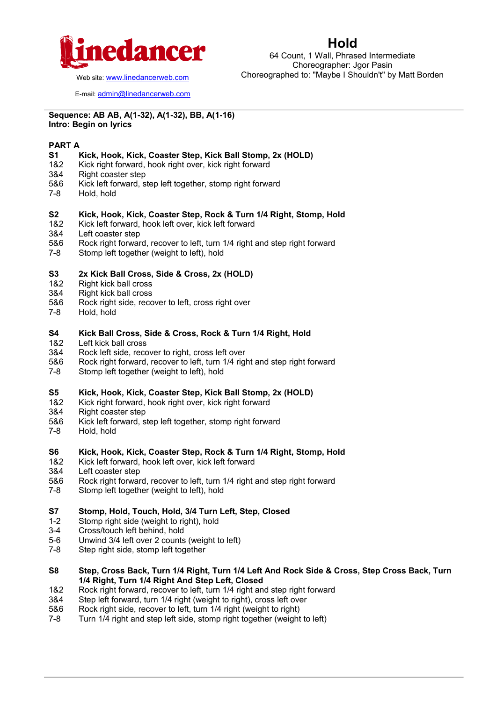

### **Hold**

64 Count, 1 Wall, Phrased Intermediate Choreographer: Jgor Pasin Choreographed to: "Maybe I Shouldn't" by Matt Borden

Web site: [www.linedancerweb.com](http://www.linedancermagazine.com/)

E-mail: [admin@linedancerweb.com](mailto:admin@linedancerweb.com)

#### **Sequence: AB AB, A(1-32), A(1-32), BB, A(1-16) Intro: Begin on lyrics**

#### **PART A**

#### **S1 Kick, Hook, Kick, Coaster Step, Kick Ball Stomp, 2x (HOLD)**

- 1&2 Kick right forward, hook right over, kick right forward
- 3&4 Right coaster step
- 5&6 Kick left forward, step left together, stomp right forward
- 7-8 Hold, hold

#### **S2 Kick, Hook, Kick, Coaster Step, Rock & Turn 1/4 Right, Stomp, Hold**

- 1&2 Kick left forward, hook left over, kick left forward
- 3&4 Left coaster step
- 5&6 Rock right forward, recover to left, turn 1/4 right and step right forward<br>7-8 Stomp left together (weight to left) hold
- Stomp left together (weight to left), hold

#### **S3 2x Kick Ball Cross, Side & Cross, 2x (HOLD)**

- 1&2 Right kick ball cross
- 3&4 Right kick ball cross
- 5&6 Rock right side, recover to left, cross right over
- 7-8 Hold, hold

#### **S4 Kick Ball Cross, Side & Cross, Rock & Turn 1/4 Right, Hold**

- 1&2 Left kick ball cross
- 3&4 Rock left side, recover to right, cross left over
- 5&6 Rock right forward, recover to left, turn 1/4 right and step right forward
- 7-8 Stomp left together (weight to left), hold

#### **S5 Kick, Hook, Kick, Coaster Step, Kick Ball Stomp, 2x (HOLD)**

- 1&2 Kick right forward, hook right over, kick right forward
- 3&4 Right coaster step
- 5&6 Kick left forward, step left together, stomp right forward
- 7-8 Hold, hold

## **S6 Kick, Hook, Kick, Coaster Step, Rock & Turn 1/4 Right, Stomp, Hold**

- Kick left forward, hook left over, kick left forward
- 3&4 Left coaster step
- 5&6 Rock right forward, recover to left, turn 1/4 right and step right forward 7-8 Stomp left together (weight to left) hold
- Stomp left together (weight to left), hold

#### **S7 Stomp, Hold, Touch, Hold, 3/4 Turn Left, Step, Closed**

- 1-2 Stomp right side (weight to right), hold
- 3-4 Cross/touch left behind, hold
- 5-6 Unwind 3/4 left over 2 counts (weight to left)
- 7-8 Step right side, stomp left together
- **S8 Step, Cross Back, Turn 1/4 Right, Turn 1/4 Left And Rock Side & Cross, Step Cross Back, Turn 1/4 Right, Turn 1/4 Right And Step Left, Closed**
- 1&2 Rock right forward, recover to left, turn 1/4 right and step right forward
- 3&4 Step left forward, turn 1/4 right (weight to right), cross left over 5&6 Rock right side, recover to left, turn 1/4 right (weight to right)
- 5&6 Rock right side, recover to left, turn 1/4 right (weight to right)
- 7-8 Turn 1/4 right and step left side, stomp right together (weight to left)